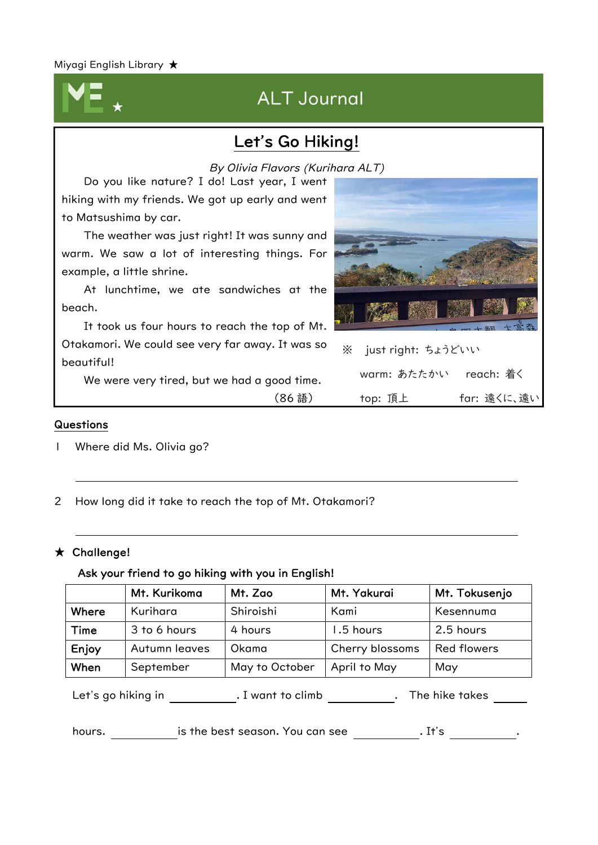# ALT Journal

## Let's Go Hiking!

Do you like nature? I do! Last year, I went By Olivia Flavors (Kurihara ALT)

hiking with my friends. We got up early and went to Matsushima by car. The weather was just right! It was sunny and warm. We saw a lot of interesting things. For example, a little shrine. At lunchtime, we ate sandwiches at the beach. It took us four hours to reach the top of Mt. Otakamori. We could see very far away. It was so beautiful! We were very tired, but we had a good time. ※ just right: ちょうどいい warm: あたたかい reach: 着く

(86 語)

#### Questions

Ļ

- 1 Where did Ms. Olivia go?
- 2 How long did it take to reach the top of Mt. Otakamori?

#### ★ Challenge!

#### Ask your friend to go hiking with you in English!

|       | Mt. Kurikoma  | Mt. Zao        | Mt. Yakurai     | Mt. Tokusenjo      |
|-------|---------------|----------------|-----------------|--------------------|
| Where | Kurihara      | Shiroishi      | Kami            | Kesennuma          |
| Time  | 3 to 6 hours  | 4 hours        | 1.5 hours       | 2.5 hours          |
| Enjoy | Autumn leaves | Okama          | Cherry blossoms | <b>Red flowers</b> |
| When  | September     | May to October | April to May    | May                |

Let's go hiking in . I want to climb . The hike takes

hours. hours. is the best season. You can see the set of state is the best season. You can see  $\cdot$  .



top: 頂上 far: 遠くに、遠い